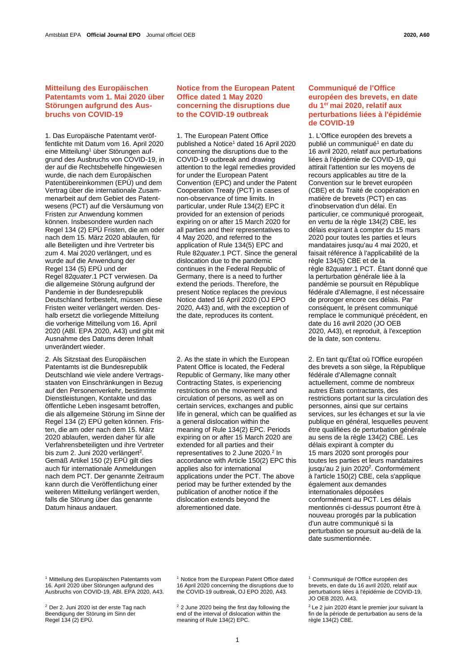## **Mitteilung des Europäischen Patentamts vom 1. Mai 2020 über Störungen aufgrund des Ausbruchs von COVID-19**

1. Das Europäische Patentamt veröffentlichte mit Datum vom 16. April 2020 eine Mitteilung<sup>1</sup> über Störungen aufgrund des Ausbruchs von COVID-19, in der auf die Rechtsbehelfe hingewiesen wurde, die nach dem Europäischen Patentübereinkommen (EPÜ) und dem Vertrag über die internationale Zusammenarbeit auf dem Gebiet des Patentwesens (PCT) auf die Versäumung von Fristen zur Anwendung kommen können. Insbesondere wurden nach Regel 134 (2) EPÜ Fristen, die am oder nach dem 15. März 2020 ablaufen, für alle Beteiligten und ihre Vertreter bis zum 4. Mai 2020 verlängert, und es wurde auf die Anwendung der Regel 134 (5) EPÜ und der Regel 82*quater*.1 PCT verwiesen. Da die allgemeine Störung aufgrund der Pandemie in der Bundesrepublik Deutschland fortbesteht, müssen diese Fristen weiter verlängert werden. Deshalb ersetzt die vorliegende Mitteilung die vorherige Mitteilung vom 16. April 2020 (ABl. EPA 2020, A43) und gibt mit Ausnahme des Datums deren Inhalt unverändert wieder.

2. Als Sitzstaat des Europäischen Patentamts ist die Bundesrepublik Deutschland wie viele andere Vertragsstaaten von Einschränkungen in Bezug auf den Personenverkehr, bestimmte Dienstleistungen, Kontakte und das öffentliche Leben insgesamt betroffen, die als allgemeine Störung im Sinne der Regel 134 (2) EPÜ gelten können. Fristen, die am oder nach dem 15. März 2020 ablaufen, werden daher für alle Verfahrensbeteiligten und ihre Vertreter bis zum 2. Juni 2020 verlängert<sup>2</sup>. Gemäß Artikel 150 (2) EPÜ gilt dies auch für internationale Anmeldungen nach dem PCT. Der genannte Zeitraum kann durch die Veröffentlichung einer weiteren Mitteilung verlängert werden, falls die Störung über das genannte Datum hinaus andauert.

## **Notice from the European Patent Office dated 1 May 2020 concerning the disruptions due to the COVID-19 outbreak**

1. The European Patent Office published a Notice<sup>1</sup> dated 16 April 2020 concerning the disruptions due to the COVID-19 outbreak and drawing attention to the legal remedies provided for under the European Patent Convention (EPC) and under the Patent Cooperation Treaty (PCT) in cases of non-observance of time limits. In particular, under Rule 134(2) EPC it provided for an extension of periods expiring on or after 15 March 2020 for all parties and their representatives to 4 May 2020, and referred to the application of Rule 134(5) EPC and Rule 82*[quater](https://www.wipo.int/pct/en/texts/rules/r82quater.html)*.1 PCT. Since the general dislocation due to the pandemic continues in the Federal Republic of Germany, there is a need to further extend the periods. Therefore, the present Notice replaces the previous Notice dated 16 April 2020 (OJ EPO 2020, A43) and, with the exception of the date, reproduces its content.

2. As the state in which the European Patent Office is located, the Federal Republic of Germany, like many other Contracting States, is experiencing restrictions on the movement and circulation of persons, as well as on certain services, exchanges and public life in general, which can be qualified as a general dislocation within the meaning of Rule 134(2) EPC. Periods expiring on or after 15 March 2020 are extended for all parties and their representatives to 2 June 2020.<sup>2</sup> In accordance with Article 150(2) EPC this applies also for international applications under the PCT. The above period may be further extended by the publication of another notice if the dislocation extends beyond the aforementioned date.

## **Communiqué de l'Office européen des brevets, en date du 1 er mai 2020, relatif aux perturbations liées à l'épidémie de COVID-19**

1. L'Office européen des brevets a publié un communiqué<sup>1</sup> en date du 16 avril 2020, relatif aux perturbations liées à l'épidémie de COVID-19, qui attirait l'attention sur les moyens de recours applicables au titre de la Convention sur le brevet européen (CBE) et du Traité de coopération en matière de brevets (PCT) en cas d'inobservation d'un délai. En particulier, ce communiqué prorogeait, en vertu de la règle 134(2) CBE, les délais expirant à compter du 15 mars 2020 pour toutes les parties et leurs mandataires jusqu'au 4 mai 2020, et faisait référence à l'applicabilité de la règle 134(5) CBE et de la règle 82*quater*.1 PCT. Étant donné que la perturbation générale liée à la pandémie se poursuit en République fédérale d'Allemagne, il est nécessaire de proroger encore ces délais. Par conséquent, le présent communiqué remplace le communiqué précédent, en date du 16 avril 2020 (JO OEB 2020, A43), et reproduit, à l'exception de la date, son contenu.

2. En tant qu'État où l'Office européen des brevets a son siège, la République fédérale d'Allemagne connaît actuellement, comme de nombreux autres États contractants, des restrictions portant sur la circulation des personnes, ainsi que sur certains services, sur les échanges et sur la vie publique en général, lesquelles peuvent être qualifiées de perturbation générale au sens de la règle 134(2) CBE. Les délais expirant à compter du 15 mars 2020 sont prorogés pour toutes les parties et leurs mandataires jusqu'au 2 juin 2020<sup>2</sup>. Conformément à l'article 150(2) CBE, cela s'applique également aux demandes internationales déposées conformément au PCT. Les délais mentionnés ci-dessus pourront être à nouveau prorogés par la publication d'un autre communiqué si la perturbation se poursuit au-delà de la date susmentionnée.

<sup>1</sup> Mitteilung des Europäischen Patentamts vom 16. April 2020 über Störungen aufgrund des Ausbruchs von COVID-19, ABl. EPA 2020, A43.

<sup>2</sup> Der 2. Juni 2020 ist der erste Tag nach Beendigung der Störung im Sinn der Regel 134 (2) EPÜ.

<sup>1</sup> Notice from the European Patent Office dated 16 April 2020 concerning the disruptions due to the COVID-19 outbreak, OJ EPO 2020, A43.

<sup>&</sup>lt;sup>2</sup> 2 June 2020 being the first day following the end of the interval of dislocation within the meaning of Rule 134(2) EPC.

<sup>1</sup> Communiqué de l'Office européen des brevets, en date du 16 avril 2020, relatif aux perturbations liées à l'épidémie de COVID-19, JO OEB 2020, A43.

<sup>&</sup>lt;sup>2</sup> Le 2 juin 2020 étant le premier jour suivant la fin de la période de perturbation au sens de la règle 134(2) CBE.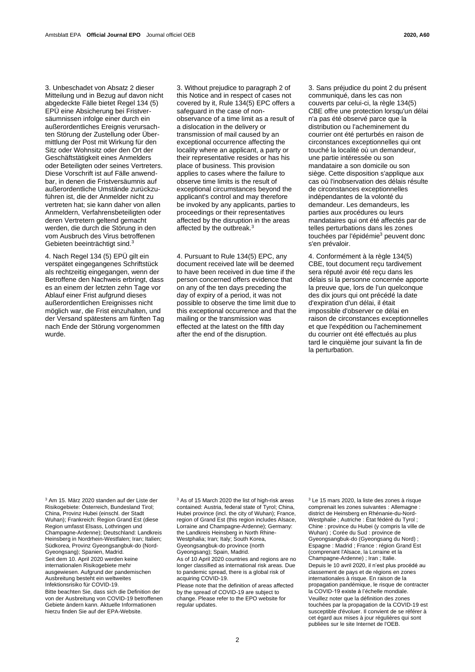3. Unbeschadet von Absatz 2 dieser Mitteilung und in Bezug auf davon nicht abgedeckte Fälle bietet Regel 134 (5) EPÜ eine Absicherung bei Fristversäumnissen infolge einer durch ein außerordentliches Ereignis verursachten Störung der Zustellung oder Übermittlung der Post mit Wirkung für den Sitz oder Wohnsitz oder den Ort der Geschäftstätigkeit eines Anmelders oder Beteiligten oder seines Vertreters. Diese Vorschrift ist auf Fälle anwendbar, in denen die Fristversäumnis auf außerordentliche Umstände zurückzuführen ist, die der Anmelder nicht zu vertreten hat; sie kann daher von allen Anmeldern, Verfahrensbeteiligten oder deren Vertretern geltend gemacht werden, die durch die Störung in den vom Ausbruch des Virus betroffenen Gebieten beeinträchtigt sind.<sup>3</sup>

4. Nach Regel 134 (5) EPÜ gilt ein verspätet eingegangenes Schriftstück als rechtzeitig eingegangen, wenn der Betroffene den Nachweis erbringt, dass es an einem der letzten zehn Tage vor Ablauf einer Frist aufgrund dieses außerordentlichen Ereignisses nicht möglich war, die Frist einzuhalten, und der Versand spätestens am fünften Tag nach Ende der Störung vorgenommen wurde.

3. Without prejudice to paragraph 2 of this Notice and in respect of cases not covered by it, Rule 134(5) EPC offers a safeguard in the case of nonobservance of a time limit as a result of a dislocation in the delivery or transmission of mail caused by an exceptional occurrence affecting the locality where an applicant, a party or their representative resides or has his place of business. This provision applies to cases where the failure to observe time limits is the result of exceptional circumstances beyond the applicant's control and may therefore be invoked by any applicants, parties to proceedings or their representatives affected by the disruption in the areas affected by the outbreak.<sup>3</sup>

4. Pursuant to Rule 134(5) EPC, any document received late will be deemed to have been received in due time if the person concerned offers evidence that on any of the ten days preceding the day of expiry of a period, it was not possible to observe the time limit due to this exceptional occurrence and that the mailing or the transmission was effected at the latest on the fifth day after the end of the disruption.

3. Sans préjudice du point 2 du présent communiqué, dans les cas non couverts par celui-ci, la règle 134(5) CBE offre une protection lorsqu'un délai n'a pas été observé parce que la distribution ou l'acheminement du courrier ont été perturbés en raison de circonstances exceptionnelles qui ont touché la localité où un demandeur, une partie intéressée ou son mandataire a son domicile ou son siège. Cette disposition s'applique aux cas où l'inobservation des délais résulte de circonstances exceptionnelles indépendantes de la volonté du demandeur. Les demandeurs, les parties aux procédures ou leurs mandataires qui ont été affectés par de telles perturbations dans les zones touchées par l'épidémie<sup>3</sup> peuvent donc s'en prévaloir.

4. Conformément à la règle 134(5) CBE, tout document reçu tardivement sera réputé avoir été reçu dans les délais si la personne concernée apporte la preuve que, lors de l'un quelconque des dix jours qui ont précédé la date d'expiration d'un délai, il était impossible d'observer ce délai en raison de circonstances exceptionnelles et que l'expédition ou l'acheminement du courrier ont été effectués au plus tard le cinquième jour suivant la fin de la perturbation.

<sup>3</sup> Am 15. März 2020 standen auf der Liste der Risikogebiete: Österreich, Bundesland Tirol; China, Provinz Hubei (einschl. der Stadt Wuhan); Frankreich: Region Grand Est (diese Region umfasst Elsass, Lothringen und Champagne-Ardenne); Deutschland: Landkreis Heinsberg in Nordrhein-Westfalen; Iran; Italien; Südkorea, Provinz Gyeongsangbuk-do (Nord-Gyeongsang); Spanien, Madrid. Seit dem 10. April 2020 werden keine internationalen Risikogebiete mehr ausgewiesen. Aufgrund der pandemischen Ausbreitung besteht ein weltweites Infektionsrisiko für COVID-19. Bitte beachten Sie, dass sich die Definition der

von der Ausbreitung von COVID-19 betroffenen Gebiete ändern kann. Aktuelle Informationen hierzu finden Sie auf de[r EPA-Website.](https://www.epo.org/news-issues/covid-19.html)

<sup>3</sup> As of 15 March 2020 the list of high-risk areas contained: Austria, federal state of Tyrol; China, Hubei province (incl. the city of Wuhan); France, region of Grand Est (this region includes Alsace, Lorraine and Champagne-Ardenne); Germany: the Landkreis Heinsberg in North Rhine-Westphalia; Iran; Italy; South Korea, Gyeongsangbuk-do province (north Gyeongsang); Spain, Madrid.

As of 10 April 2020 countries and regions are no longer classified as international risk areas. Due to pandemic spread, there is a global risk of acquiring COVID-19.

Please note that the definition of areas affected by the spread of COVID-19 are subject to change. Please refer to th[e EPO website](https://www.epo.org/news-issues/covid-19.html) for regular updates.

<sup>3</sup> Le 15 mars 2020, la liste des zones à risque comprenait les zones suivantes : Allemagne : district de Heinsberg en Rhénanie-du-Nord-Westphalie ; Autriche : État fédéré du Tyrol ; Chine : province du Hubei (y compris la ville de Wuhan) ; Corée du Sud : province de Gyeongsangbuk-do (Gyeongsang du Nord) ; Espagne : Madrid ; France : région Grand Est (comprenant l'Alsace, la Lorraine et la Champagne-Ardenne) ; Iran ; Italie. Depuis le 10 avril 2020, il n'est plus procédé au classement de pays et de régions en zones internationales à risque. En raison de la propagation pandémique, le risque de contracter la COVID-19 existe à l'échelle mondiale. Veuillez noter que la définition des zones touchées par la propagation de la COVID-19 est susceptible d'évoluer. Il convient de se référer à cet égard aux mises à jour régulières qui sont publiées sur le site Internet de l'OEB.